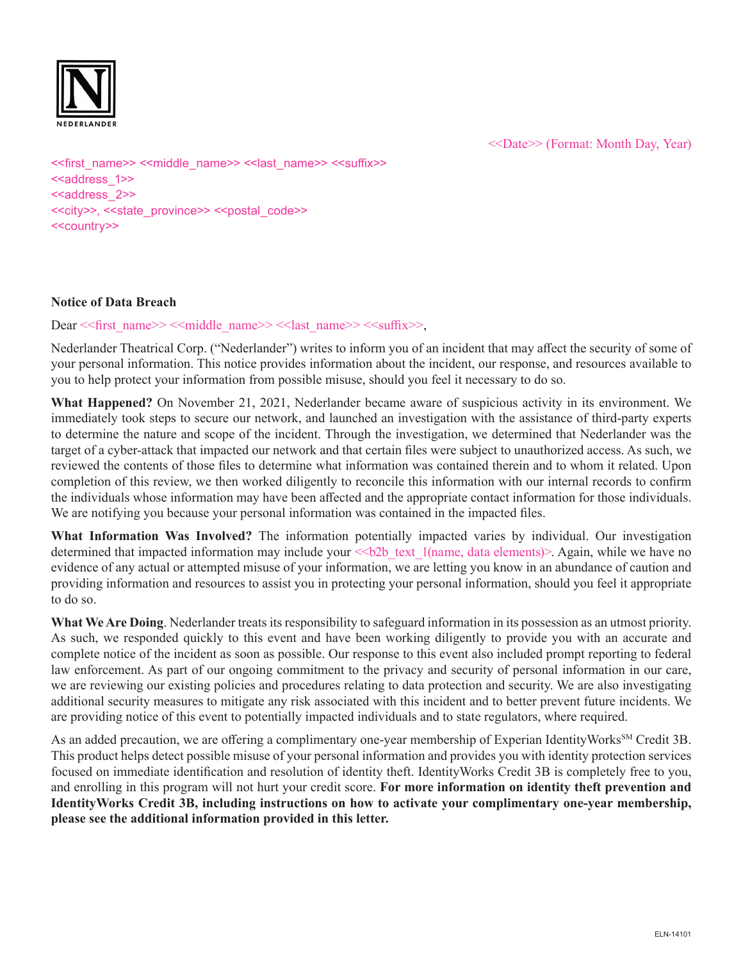

<<Date>> (Format: Month Day, Year)

<<first\_name>> <<middle\_name>> <<last\_name>> <<suffix>> <<aaddress\_1>> <<address\_2>> <<city>>, <<state\_province>> <<postal\_code>> <<country>>

### **Notice of Data Breach**

Dear << first\_name>> <<middle\_name>> << last\_name>> << suffix>>,

Nederlander Theatrical Corp. ("Nederlander") writes to inform you of an incident that may affect the security of some of your personal information. This notice provides information about the incident, our response, and resources available to you to help protect your information from possible misuse, should you feel it necessary to do so.

**What Happened?** On November 21, 2021, Nederlander became aware of suspicious activity in its environment. We immediately took steps to secure our network, and launched an investigation with the assistance of third-party experts to determine the nature and scope of the incident. Through the investigation, we determined that Nederlander was the target of a cyber-attack that impacted our network and that certain files were subject to unauthorized access. As such, we reviewed the contents of those files to determine what information was contained therein and to whom it related. Upon completion of this review, we then worked diligently to reconcile this information with our internal records to confirm the individuals whose information may have been affected and the appropriate contact information for those individuals. We are notifying you because your personal information was contained in the impacted files.

**What Information Was Involved?** The information potentially impacted varies by individual. Our investigation determined that impacted information may include your  $\ll$ b2b text 1(name, data elements)>. Again, while we have no evidence of any actual or attempted misuse of your information, we are letting you know in an abundance of caution and providing information and resources to assist you in protecting your personal information, should you feel it appropriate to do so.

**What We Are Doing**. Nederlander treats its responsibility to safeguard information in its possession as an utmost priority. As such, we responded quickly to this event and have been working diligently to provide you with an accurate and complete notice of the incident as soon as possible. Our response to this event also included prompt reporting to federal law enforcement. As part of our ongoing commitment to the privacy and security of personal information in our care, we are reviewing our existing policies and procedures relating to data protection and security. We are also investigating additional security measures to mitigate any risk associated with this incident and to better prevent future incidents. We are providing notice of this event to potentially impacted individuals and to state regulators, where required.

As an added precaution, we are offering a complimentary one-year membership of Experian IdentityWorks<sup>SM</sup> Credit 3B. This product helps detect possible misuse of your personal information and provides you with identity protection services focused on immediate identification and resolution of identity theft. IdentityWorks Credit 3B is completely free to you, and enrolling in this program will not hurt your credit score. **For more information on identity theft prevention and IdentityWorks Credit 3B, including instructions on how to activate your complimentary one-year membership, please see the additional information provided in this letter.**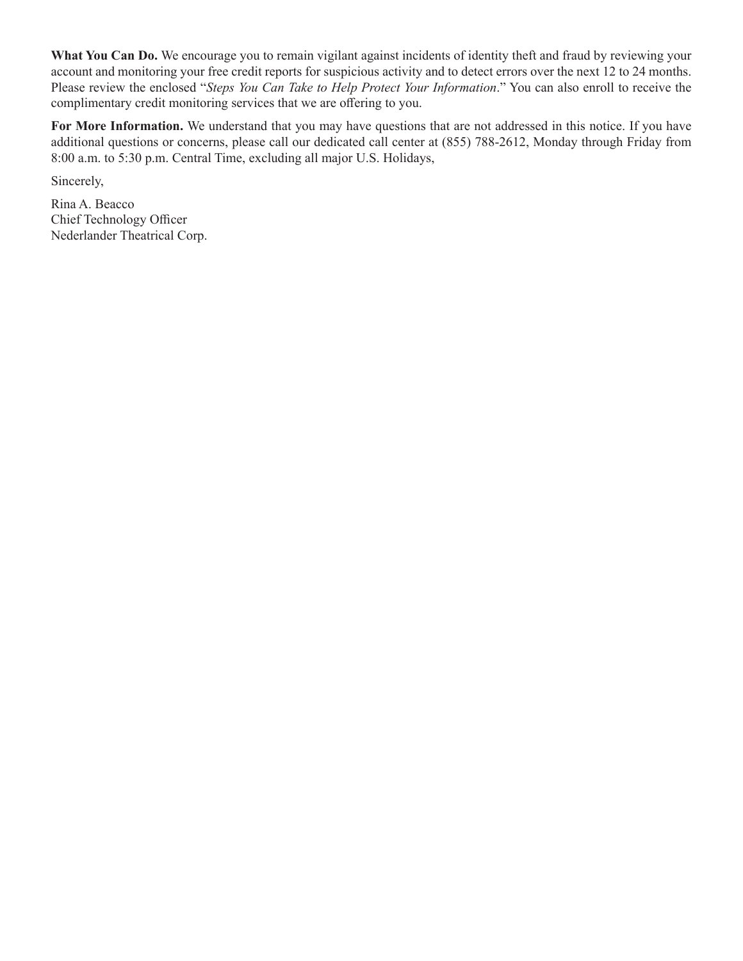What You Can Do. We encourage you to remain vigilant against incidents of identity theft and fraud by reviewing your account and monitoring your free credit reports for suspicious activity and to detect errors over the next 12 to 24 months. Please review the enclosed "*Steps You Can Take to Help Protect Your Information*." You can also enroll to receive the complimentary credit monitoring services that we are offering to you.

**For More Information.** We understand that you may have questions that are not addressed in this notice. If you have additional questions or concerns, please call our dedicated call center at (855) 788-2612, Monday through Friday from 8:00 a.m. to 5:30 p.m. Central Time, excluding all major U.S. Holidays,

Sincerely,

Rina A. Beacco Chief Technology Officer Nederlander Theatrical Corp.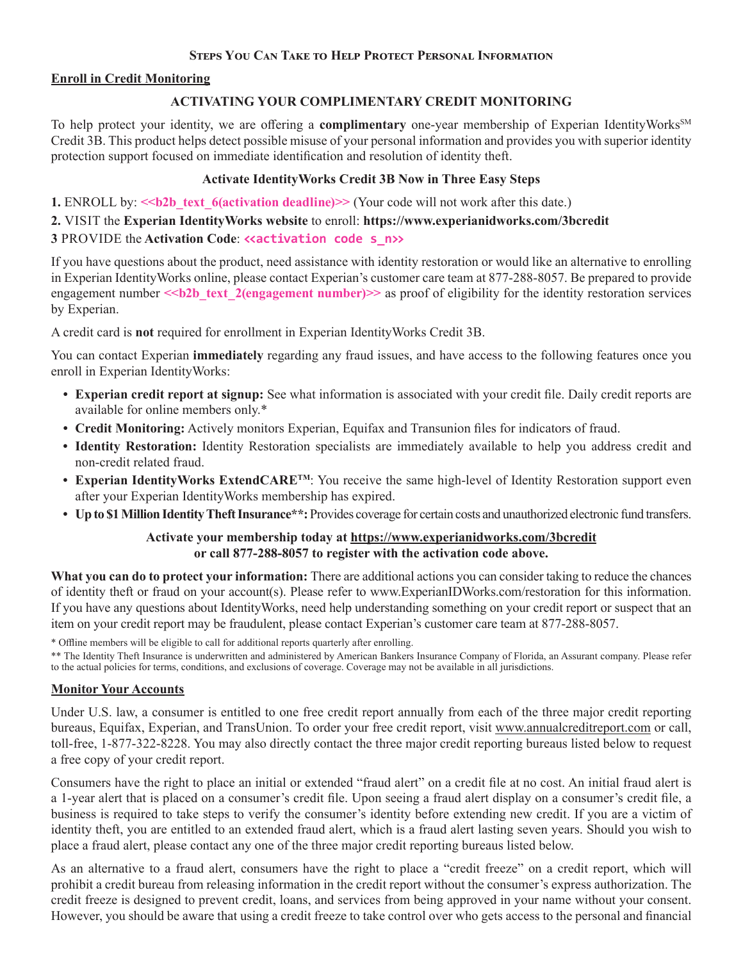### **Steps You Can Take to Help Protect Personal Information**

#### **Enroll in Credit Monitoring**

## **ACTIVATING YOUR COMPLIMENTARY CREDIT MONITORING**

To help protect your identity, we are offering a **complimentary** one-year membership of Experian IdentityWorks<sup>SM</sup> Credit 3B. This product helps detect possible misuse of your personal information and provides you with superior identity protection support focused on immediate identification and resolution of identity theft.

## **Activate IdentityWorks Credit 3B Now in Three Easy Steps**

**1.** ENROLL by:  $\le b2b$  text 6(activation deadline) $\ge$  (Your code will not work after this date.)

**2.** VISIT the **Experian IdentityWorks website** to enroll: **https://www.experianidworks.com/3bcredit**

## **3 PROVIDE** the **Activation Code: «activation code s n>>**

If you have questions about the product, need assistance with identity restoration or would like an alternative to enrolling in Experian IdentityWorks online, please contact Experian's customer care team at 877-288-8057. Be prepared to provide engagement number  $\le b2b$  text 2(engagement number)>> as proof of eligibility for the identity restoration services by Experian.

A credit card is **not** required for enrollment in Experian IdentityWorks Credit 3B.

You can contact Experian **immediately** regarding any fraud issues, and have access to the following features once you enroll in Experian IdentityWorks:

- **• Experian credit report at signup:** See what information is associated with your credit file. Daily credit reports are available for online members only.\*
- **• Credit Monitoring:** Actively monitors Experian, Equifax and Transunion files for indicators of fraud.
- **• Identity Restoration:** Identity Restoration specialists are immediately available to help you address credit and non-credit related fraud.
- **Experian IdentityWorks ExtendCARE<sup>TM</sup>:** You receive the same high-level of Identity Restoration support even after your Experian IdentityWorks membership has expired.
- **• Up to \$1 Million Identity Theft Insurance\*\*:** Provides coverage for certain costs and unauthorized electronic fund transfers.

#### **Activate your membership today at https://www.experianidworks.com/3bcredit or call 877-288-8057 to register with the activation code above.**

**What you can do to protect your information:** There are additional actions you can consider taking to reduce the chances of identity theft or fraud on your account(s). Please refer to www.ExperianIDWorks.com/restoration for this information. If you have any questions about IdentityWorks, need help understanding something on your credit report or suspect that an item on your credit report may be fraudulent, please contact Experian's customer care team at 877-288-8057.

\* Offline members will be eligible to call for additional reports quarterly after enrolling.

\*\* The Identity Theft Insurance is underwritten and administered by American Bankers Insurance Company of Florida, an Assurant company. Please refer to the actual policies for terms, conditions, and exclusions of coverage. Coverage may not be available in all jurisdictions.

#### **Monitor Your Accounts**

Under U.S. law, a consumer is entitled to one free credit report annually from each of the three major credit reporting bureaus, Equifax, Experian, and TransUnion. To order your free credit report, visit www.annualcreditreport.com or call, toll-free, 1-877-322-8228. You may also directly contact the three major credit reporting bureaus listed below to request a free copy of your credit report.

Consumers have the right to place an initial or extended "fraud alert" on a credit file at no cost. An initial fraud alert is a 1-year alert that is placed on a consumer's credit file. Upon seeing a fraud alert display on a consumer's credit file, a business is required to take steps to verify the consumer's identity before extending new credit. If you are a victim of identity theft, you are entitled to an extended fraud alert, which is a fraud alert lasting seven years. Should you wish to place a fraud alert, please contact any one of the three major credit reporting bureaus listed below.

As an alternative to a fraud alert, consumers have the right to place a "credit freeze" on a credit report, which will prohibit a credit bureau from releasing information in the credit report without the consumer's express authorization. The credit freeze is designed to prevent credit, loans, and services from being approved in your name without your consent. However, you should be aware that using a credit freeze to take control over who gets access to the personal and financial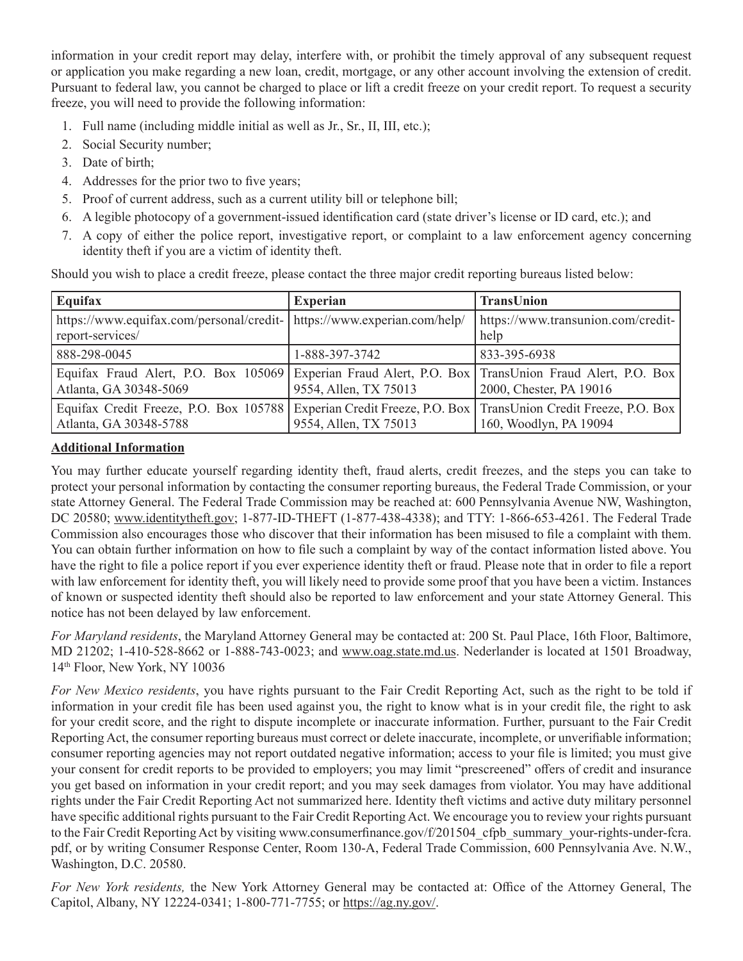information in your credit report may delay, interfere with, or prohibit the timely approval of any subsequent request or application you make regarding a new loan, credit, mortgage, or any other account involving the extension of credit. Pursuant to federal law, you cannot be charged to place or lift a credit freeze on your credit report. To request a security freeze, you will need to provide the following information:

- 1. Full name (including middle initial as well as Jr., Sr., II, III, etc.);
- 2. Social Security number;
- 3. Date of birth;
- 4. Addresses for the prior two to five years;
- 5. Proof of current address, such as a current utility bill or telephone bill;
- 6. A legible photocopy of a government-issued identification card (state driver's license or ID card, etc.); and
- 7. A copy of either the police report, investigative report, or complaint to a law enforcement agency concerning identity theft if you are a victim of identity theft.

Should you wish to place a credit freeze, please contact the three major credit reporting bureaus listed below:

| <b>Equifax</b>                                                                                                                 | <b>Experian</b>                | <b>TransUnion</b>                                                                               |
|--------------------------------------------------------------------------------------------------------------------------------|--------------------------------|-------------------------------------------------------------------------------------------------|
| https://www.equifax.com/personal/credit-<br>report-services/                                                                   | https://www.experian.com/help/ | https://www.transunion.com/credit-<br>help                                                      |
| 888-298-0045                                                                                                                   | 1-888-397-3742                 | 833-395-6938                                                                                    |
| Equifax Fraud Alert, P.O. Box 105069 Experian Fraud Alert, P.O. Box TransUnion Fraud Alert, P.O. Box<br>Atlanta, GA 30348-5069 | 9554, Allen, TX 75013          | 2000, Chester, PA 19016                                                                         |
| Equifax Credit Freeze, P.O. Box 105788<br>Atlanta, GA 30348-5788                                                               | 9554, Allen, TX 75013          | Experian Credit Freeze, P.O. Box   TransUnion Credit Freeze, P.O. Box<br>160, Woodlyn, PA 19094 |

# **Additional Information**

You may further educate yourself regarding identity theft, fraud alerts, credit freezes, and the steps you can take to protect your personal information by contacting the consumer reporting bureaus, the Federal Trade Commission, or your state Attorney General. The Federal Trade Commission may be reached at: 600 Pennsylvania Avenue NW, Washington, DC 20580; www.identitytheft.gov; 1-877-ID-THEFT (1-877-438-4338); and TTY: 1-866-653-4261. The Federal Trade Commission also encourages those who discover that their information has been misused to file a complaint with them. You can obtain further information on how to file such a complaint by way of the contact information listed above. You have the right to file a police report if you ever experience identity theft or fraud. Please note that in order to file a report with law enforcement for identity theft, you will likely need to provide some proof that you have been a victim. Instances of known or suspected identity theft should also be reported to law enforcement and your state Attorney General. This notice has not been delayed by law enforcement.

*For Maryland residents*, the Maryland Attorney General may be contacted at: 200 St. Paul Place, 16th Floor, Baltimore, MD 21202; 1-410-528-8662 or 1-888-743-0023; and www.oag.state.md.us. Nederlander is located at 1501 Broadway, 14th Floor, New York, NY 10036

*For New Mexico residents*, you have rights pursuant to the Fair Credit Reporting Act, such as the right to be told if information in your credit file has been used against you, the right to know what is in your credit file, the right to ask for your credit score, and the right to dispute incomplete or inaccurate information. Further, pursuant to the Fair Credit Reporting Act, the consumer reporting bureaus must correct or delete inaccurate, incomplete, or unverifiable information; consumer reporting agencies may not report outdated negative information; access to your file is limited; you must give your consent for credit reports to be provided to employers; you may limit "prescreened" offers of credit and insurance you get based on information in your credit report; and you may seek damages from violator. You may have additional rights under the Fair Credit Reporting Act not summarized here. Identity theft victims and active duty military personnel have specific additional rights pursuant to the Fair Credit Reporting Act. We encourage you to review your rights pursuant to the Fair Credit Reporting Act by visiting www.consumerfinance.gov/f/201504 cfpb summary your-rights-under-fcra. pdf, or by writing Consumer Response Center, Room 130-A, Federal Trade Commission, 600 Pennsylvania Ave. N.W., Washington, D.C. 20580.

*For New York residents,* the New York Attorney General may be contacted at: Office of the Attorney General, The Capitol, Albany, NY 12224-0341; 1-800-771-7755; or https://ag.ny.gov/.